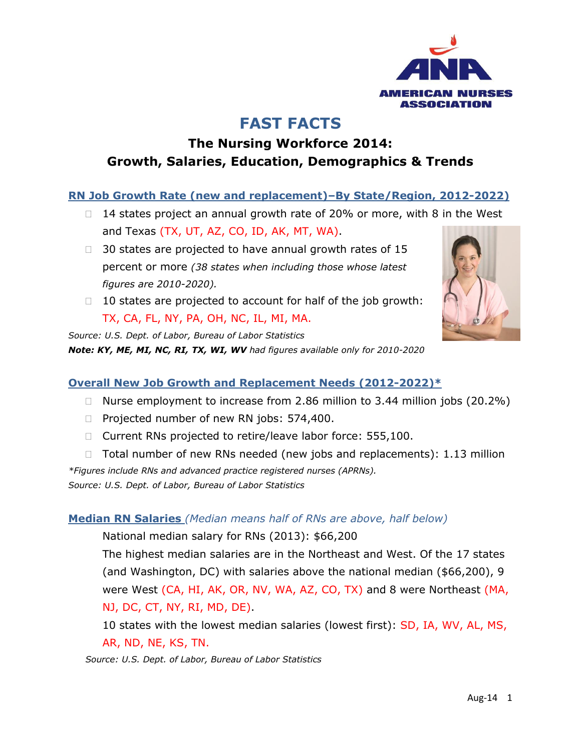

# **FAST FACTS**

## **The Nursing Workforce 2014: Growth, Salaries, Education, Demographics & Trends**

### **RN Job Growth Rate (new and replacement)–By State/Region, 2012-2022)**

- $\Box$  14 states project an annual growth rate of 20% or more, with 8 in the West and Texas (TX, UT, AZ, CO, ID, AK, MT, WA).
- $\Box$  30 states are projected to have annual growth rates of 15 percent or more *(38 states when including those whose latest figures are 2010-2020).*
- $\Box$  10 states are projected to account for half of the job growth: TX, CA, FL, NY, PA, OH, NC, IL, MI, MA.

*Source: U.S. Dept. of Labor, Bureau of Labor Statistics Note: KY, ME, MI, NC, RI, TX, WI, WV had figures available only for 2010-2020* 



### **Overall New Job Growth and Replacement Needs (2012-2022)\***

- □ Nurse employment to increase from 2.86 million to 3.44 million jobs (20.2%)
- □ Projected number of new RN jobs: 574,400.
- □ Current RNs projected to retire/leave labor force: 555,100.
- $\Box$  Total number of new RNs needed (new jobs and replacements): 1.13 million *\*Figures include RNs and advanced practice registered nurses (APRNs). Source: U.S. Dept. of Labor, Bureau of Labor Statistics*

#### **Median RN Salaries** *(Median means half of RNs are above, half below)*

National median salary for RNs (2013): \$66,200

The highest median salaries are in the Northeast and West. Of the 17 states (and Washington, DC) with salaries above the national median (\$66,200), 9 were West (CA, HI, AK, OR, NV, WA, AZ, CO, TX) and 8 were Northeast (MA, NJ, DC, CT, NY, RI, MD, DE).

10 states with the lowest median salaries (lowest first): SD, IA, WV, AL, MS, AR, ND, NE, KS, TN.

*Source: U.S. Dept. of Labor, Bureau of Labor Statistics*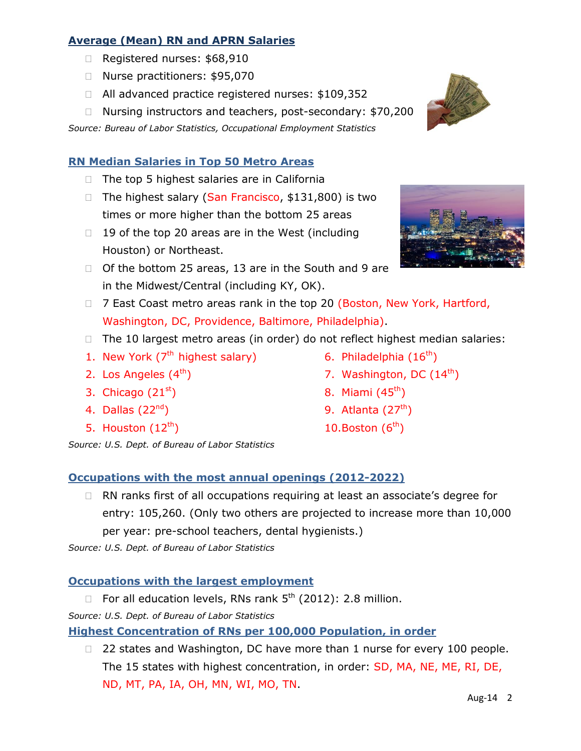### **Average (Mean) RN and APRN Salaries**

- Registered nurses: \$68,910
- □ Nurse practitioners: \$95,070
- □ All advanced practice registered nurses: \$109,352
- □ Nursing instructors and teachers, post-secondary: \$70,200

*Source: Bureau of Labor Statistics, Occupational Employment Statistics*

### **RN Median Salaries in Top 50 Metro Areas**

- $\Box$  The top 5 highest salaries are in California
- □ The highest salary (San Francisco, \$131,800) is two times or more higher than the bottom 25 areas
- $\Box$  19 of the top 20 areas are in the West (including Houston) or Northeast.
- □ Of the bottom 25 areas, 13 are in the South and 9 are in the Midwest/Central (including KY, OK).
- □ 7 East Coast metro areas rank in the top 20 (Boston, New York, Hartford, Washington, DC, Providence, Baltimore, Philadelphia).
- $\Box$  The 10 largest metro areas (in order) do not reflect highest median salaries:
- 1. New York (7<sup>th</sup> highest salary)
- 2. Los Angeles (4<sup>th</sup>)
- 3. Chicago  $(21<sup>st</sup>)$
- 4. Dallas  $(22<sup>nd</sup>)$
- 5. Houston  $(12^{th})$
- *Source: U.S. Dept. of Bureau of Labor Statistics*

### **Occupations with the most annual openings (2012-2022)**

□ RN ranks first of all occupations requiring at least an associate's degree for entry: 105,260. (Only two others are projected to increase more than 10,000 per year: pre-school teachers, dental hygienists.)

*Source: U.S. Dept. of Bureau of Labor Statistics*

#### **Occupations with the largest employment**

- $\Box$  For all education levels, RNs rank  $5^{th}$  (2012): 2.8 million.
- *Source: U.S. Dept. of Bureau of Labor Statistics*

#### **Highest Concentration of RNs per 100,000 Population, in order**

□ 22 states and Washington, DC have more than 1 nurse for every 100 people. The 15 states with highest concentration, in order: SD, MA, NE, ME, RI, DE, ND, MT, PA, IA, OH, MN, WI, MO, TN.





- 6. Philadelphia (16<sup>th</sup>)
- 7. Washington, DC  $(14^{\text{th}})$
- 8. Miami (45<sup>th</sup>)
- 9. Atlanta (27<sup>th</sup>)
- 10. Boston  $(6<sup>th</sup>)$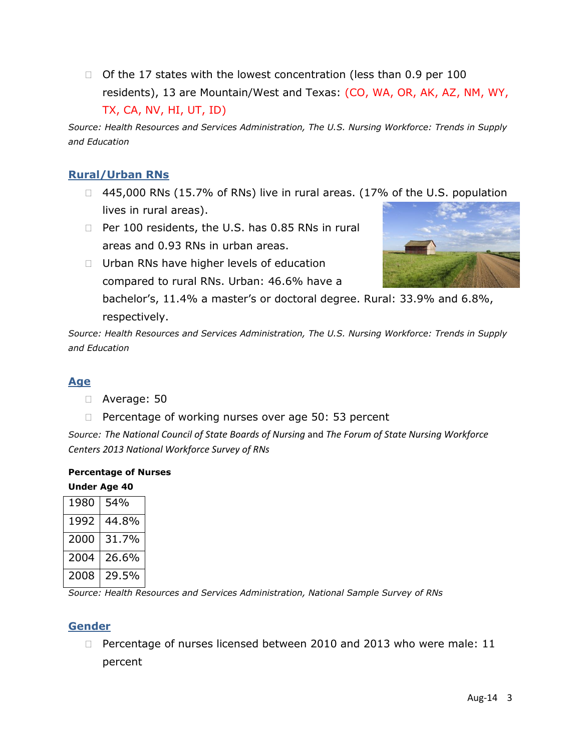$\Box$  Of the 17 states with the lowest concentration (less than 0.9 per 100 residents), 13 are Mountain/West and Texas: (CO, WA, OR, AK, AZ, NM, WY, TX, CA, NV, HI, UT, ID)

*Source: Health Resources and Services Administration, The U.S. Nursing Workforce: Trends in Supply and Education*

### **Rural/Urban RNs**

- □ 445,000 RNs (15.7% of RNs) live in rural areas. (17% of the U.S. population lives in rural areas).
- $\Box$  Per 100 residents, the U.S. has 0.85 RNs in rural areas and 0.93 RNs in urban areas.
- □ Urban RNs have higher levels of education compared to rural RNs. Urban: 46.6% have a bachelor's, 11.4% a master's or doctoral degree. Rural: 33.9% and 6.8%, respectively.

*Source: Health Resources and Services Administration, The U.S. Nursing Workforce: Trends in Supply and Education*

### **Age**

- Average: 50
- $\Box$  Percentage of working nurses over age 50: 53 percent

*Source: The National Council of State Boards of Nursing* and *The Forum of State Nursing Workforce Centers 2013 National Workforce Survey of RNs*

#### **Percentage of Nurses Under Age 40**

| 1980 | 54%   |
|------|-------|
| 1992 | 44.8% |
| 2000 | 31.7% |
| 2004 | 26.6% |
| 2008 | 29.5% |

*Source: Health Resources and Services Administration, National Sample Survey of RNs*

#### **Gender**

□ Percentage of nurses licensed between 2010 and 2013 who were male: 11 percent

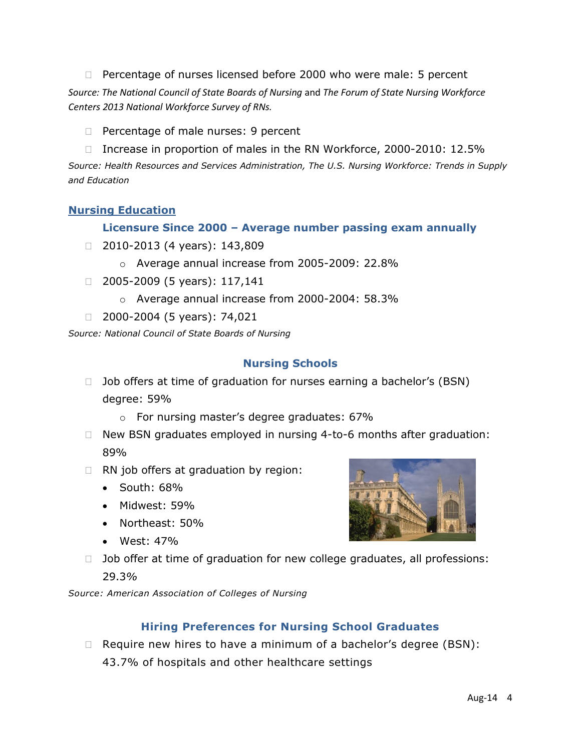- $\Box$  Percentage of nurses licensed before 2000 who were male: 5 percent *Source: The National Council of State Boards of Nursing* and *The Forum of State Nursing Workforce Centers 2013 National Workforce Survey of RNs.*
	- $\Box$  Percentage of male nurses: 9 percent
	- □ Increase in proportion of males in the RN Workforce, 2000-2010: 12.5%

*Source: Health Resources and Services Administration, The U.S. Nursing Workforce: Trends in Supply and Education*

#### **Nursing Education**

#### **Licensure Since 2000 – Average number passing exam annually**

- $\Box$  2010-2013 (4 years): 143,809
	- o Average annual increase from 2005-2009: 22.8%
- $\Box$  2005-2009 (5 years): 117,141
	- o Average annual increase from 2000-2004: 58.3%
- $\Box$  2000-2004 (5 years): 74,021

*Source: National Council of State Boards of Nursing*

#### **Nursing Schools**

- $\Box$  Job offers at time of graduation for nurses earning a bachelor's (BSN) degree: 59%
	- o For nursing master's degree graduates: 67%
- □ New BSN graduates employed in nursing 4-to-6 months after graduation: 89%
- $\Box$  RN job offers at graduation by region:
	- $\bullet$  South: 68%
	- Midwest: 59%
	- Northeast: 50%
	- West: 47%



 $\Box$  Job offer at time of graduation for new college graduates, all professions: 29.3*%* 

*Source: American Association of Colleges of Nursing*

#### **Hiring Preferences for Nursing School Graduates**

 $\Box$  Require new hires to have a minimum of a bachelor's degree (BSN): 43.7% of hospitals and other healthcare settings